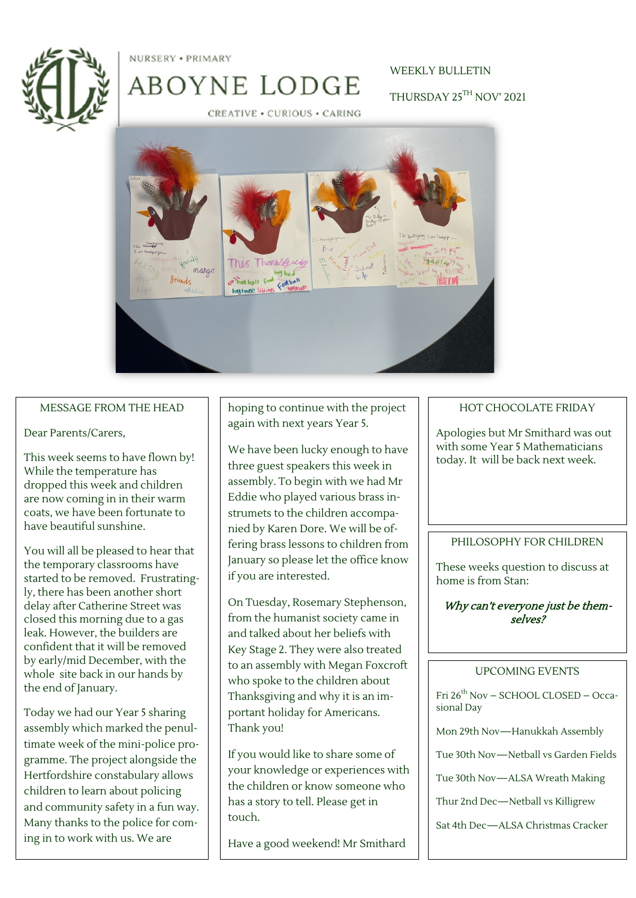

NURSERY . PRIMARY

# WEEKLY BULLETIN

THURSDAY 25TH NOV' 2021

CREATIVE · CURIOUS · CARING

ABOYNE LODGE



#### MESSAGE FROM THE HEAD

Dear Parents/Carers,

This week seems to have flown by! While the temperature has dropped this week and children are now coming in in their warm coats, we have been fortunate to have beautiful sunshine.

You will all be pleased to hear that the temporary classrooms have started to be removed. Frustratingly, there has been another short delay after Catherine Street was closed this morning due to a gas leak. However, the builders are confident that it will be removed by early/mid December, with the whole site back in our hands by the end of January.

Today we had our Year 5 sharing assembly which marked the penultimate week of the mini-police programme. The project alongside the Hertfordshire constabulary allows children to learn about policing and community safety in a fun way. Many thanks to the police for coming in to work with us. We are

hoping to continue with the project again with next years Year 5.

We have been lucky enough to have three guest speakers this week in assembly. To begin with we had Mr Eddie who played various brass instrumets to the children accompanied by Karen Dore. We will be offering brass lessons to children from January so please let the office know if you are interested.

On Tuesday, Rosemary Stephenson, from the humanist society came in and talked about her beliefs with Key Stage 2. They were also treated to an assembly with Megan Foxcroft who spoke to the children about Thanksgiving and why it is an important holiday for Americans. Thank you!

If you would like to share some of your knowledge or experiences with the children or know someone who has a story to tell. Please get in touch.

Have a good weekend! Mr Smithard

### HOT CHOCOLATE FRIDAY

Apologies but Mr Smithard was out with some Year 5 Mathematicians today. It will be back next week.

#### PHILOSOPHY FOR CHILDREN

These weeks question to discuss at home is from Stan:

### Why can't everyone just be themselves?

#### UPCOMING EVENTS

Fri 26<sup>th</sup> Nov - SCHOOL CLOSED - Occasional Day

Mon 29th Nov—Hanukkah Assembly

Tue 30th Nov—Netball vs Garden Fields

Tue 30th Nov—ALSA Wreath Making

Thur 2nd Dec—Netball vs Killigrew

Sat 4th Dec—ALSA Christmas Cracker